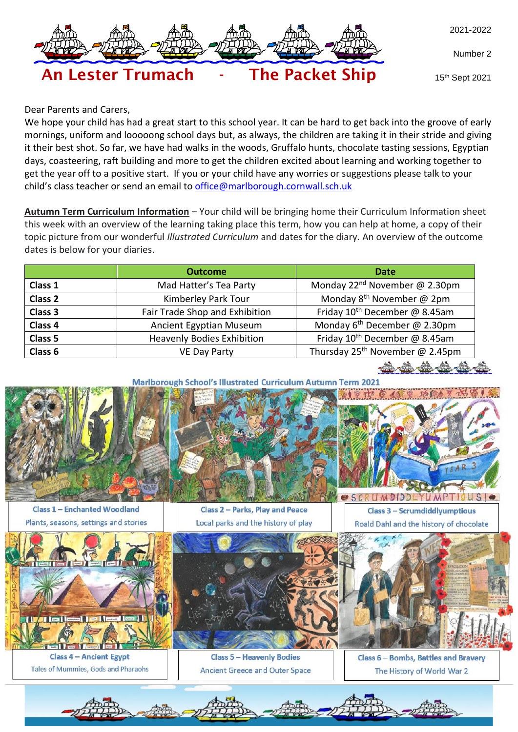

Number 2



15th Sept 2021

Dear Parents and Carers,

We hope your child has had a great start to this school year. It can be hard to get back into the groove of early mornings, uniform and looooong school days but, as always, the children are taking it in their stride and giving it their best shot. So far, we have had walks in the woods, Gruffalo hunts, chocolate tasting sessions, Egyptian days, coasteering, raft building and more to get the children excited about learning and working together to get the year off to a positive start. If you or your child have any worries or suggestions please talk to your child's class teacher or send an email to [office@marlborough.cornwall.sch.uk](mailto:office@marlborough.cornwall.sch.uk)

**Autumn Term Curriculum Information** – Your child will be bringing home their Curriculum Information sheet this week with an overview of the learning taking place this term, how you can help at home, a copy of their topic picture from our wonderful *Illustrated Curriculum* and dates for the diary*.* An overview of the outcome dates is below for your diaries.

| Monday 22 <sup>nd</sup> November @ 2.30pm<br>Mad Hatter's Tea Party<br>Class 1<br>Monday 8 <sup>th</sup> November @ 2pm<br>Kimberley Park Tour<br>Class <sub>2</sub><br>Friday 10 <sup>th</sup> December @ 8.45am<br>Class 3<br>Fair Trade Shop and Exhibition<br>Monday $6^{th}$ December @ 2.30pm<br>Class 4<br>Ancient Egyptian Museum<br>Friday 10 <sup>th</sup> December @ 8.45am<br>Class 5<br><b>Heavenly Bodies Exhibition</b> |         | <b>Outcome</b>      | <b>Date</b>                                 |  |  |  |
|----------------------------------------------------------------------------------------------------------------------------------------------------------------------------------------------------------------------------------------------------------------------------------------------------------------------------------------------------------------------------------------------------------------------------------------|---------|---------------------|---------------------------------------------|--|--|--|
|                                                                                                                                                                                                                                                                                                                                                                                                                                        |         |                     |                                             |  |  |  |
|                                                                                                                                                                                                                                                                                                                                                                                                                                        |         |                     |                                             |  |  |  |
|                                                                                                                                                                                                                                                                                                                                                                                                                                        |         |                     |                                             |  |  |  |
|                                                                                                                                                                                                                                                                                                                                                                                                                                        |         |                     |                                             |  |  |  |
|                                                                                                                                                                                                                                                                                                                                                                                                                                        |         |                     |                                             |  |  |  |
|                                                                                                                                                                                                                                                                                                                                                                                                                                        | Class 6 | <b>VE Day Party</b> | Thursday 25 <sup>th</sup> November @ 2.45pm |  |  |  |

**Marlborough School's Illustrated Curriculum Autumn Term 2021** 





**Class 1 - Enchanted Woodland** Plants, seasons, settings and stories

**Class 2 - Parks, Play and Peace** Local parks and the history of play

Class 3 - Scrumdiddlyumptious Roald Dahl and the history of chocolate

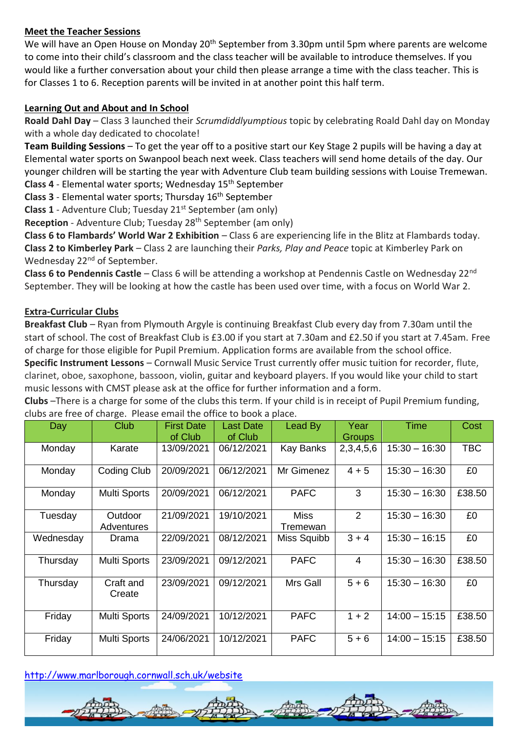## **Meet the Teacher Sessions**

We will have an Open House on Monday 20<sup>th</sup> September from 3.30pm until 5pm where parents are welcome to come into their child's classroom and the class teacher will be available to introduce themselves. If you would like a further conversation about your child then please arrange a time with the class teacher. This is for Classes 1 to 6. Reception parents will be invited in at another point this half term.

### **Learning Out and About and In School**

**Roald Dahl Day** – Class 3 launched their *Scrumdiddlyumptious* topic by celebrating Roald Dahl day on Monday with a whole day dedicated to chocolate!

**Team Building Sessions** – To get the year off to a positive start our Key Stage 2 pupils will be having a day at Elemental water sports on Swanpool beach next week. Class teachers will send home details of the day. Our younger children will be starting the year with Adventure Club team building sessions with Louise Tremewan. **Class 4** - Elemental water sports; Wednesday 15th September

Class 3 - Elemental water sports; Thursday 16<sup>th</sup> September

**Class 1** - Adventure Club; Tuesday 21<sup>st</sup> September (am only)

**Reception** - Adventure Club; Tuesday 28<sup>th</sup> September (am only)

**Class 6 to Flambards' World War 2 Exhibition** – Class 6 are experiencing life in the Blitz at Flambards today. **Class 2 to Kimberley Park** – Class 2 are launching their *Parks, Play and Peace* topic at Kimberley Park on Wednesday 22<sup>nd</sup> of September.

**Class 6 to Pendennis Castle** – Class 6 will be attending a workshop at Pendennis Castle on Wednesday 22nd September. They will be looking at how the castle has been used over time, with a focus on World War 2.

### **Extra-Curricular Clubs**

**Breakfast Club** – Ryan from Plymouth Argyle is continuing Breakfast Club every day from 7.30am until the start of school. The cost of Breakfast Club is £3.00 if you start at 7.30am and £2.50 if you start at 7.45am. Free of charge for those eligible for Pupil Premium. Application forms are available from the school office.

**Specific Instrument Lessons** – Cornwall Music Service Trust currently offer music tuition for recorder, flute, clarinet, oboe, saxophone, bassoon, violin, guitar and keyboard players. If you would like your child to start music lessons with CMST please ask at the office for further information and a form.

**Clubs** –There is a charge for some of the clubs this term. If your child is in receipt of Pupil Premium funding, clubs are free of charge. Please email the office to book a place.

| Day       | <b>Club</b>           | <b>First Date</b><br>of Club | <b>Last Date</b><br>of Club | Lead By                 | Year<br><b>Groups</b> | <b>Time</b>     | Cost       |
|-----------|-----------------------|------------------------------|-----------------------------|-------------------------|-----------------------|-----------------|------------|
| Monday    | Karate                | 13/09/2021                   | 06/12/2021                  | Kay Banks               | 2,3,4,5,6             | $15:30 - 16:30$ | <b>TBC</b> |
| Monday    | <b>Coding Club</b>    | 20/09/2021                   | 06/12/2021                  | Mr Gimenez              | $4 + 5$               | $15:30 - 16:30$ | £0         |
| Monday    | <b>Multi Sports</b>   | 20/09/2021                   | 06/12/2021                  | <b>PAFC</b>             | 3                     | $15:30 - 16:30$ | £38.50     |
| Tuesday   | Outdoor<br>Adventures | 21/09/2021                   | 19/10/2021                  | <b>Miss</b><br>Tremewan | 2                     | $15:30 - 16:30$ | £0         |
| Wednesday | Drama                 | 22/09/2021                   | 08/12/2021                  | Miss Squibb             | $3 + 4$               | $15:30 - 16:15$ | £0         |
| Thursday  | Multi Sports          | 23/09/2021                   | 09/12/2021                  | <b>PAFC</b>             | 4                     | $15:30 - 16:30$ | £38.50     |
| Thursday  | Craft and<br>Create   | 23/09/2021                   | 09/12/2021                  | Mrs Gall                | $5 + 6$               | $15:30 - 16:30$ | £0         |
| Friday    | <b>Multi Sports</b>   | 24/09/2021                   | 10/12/2021                  | <b>PAFC</b>             | $1 + 2$               | $14:00 - 15:15$ | £38.50     |
| Friday    | Multi Sports          | 24/06/2021                   | 10/12/2021                  | <b>PAFC</b>             | $5 + 6$               | $14:00 - 15:15$ | £38.50     |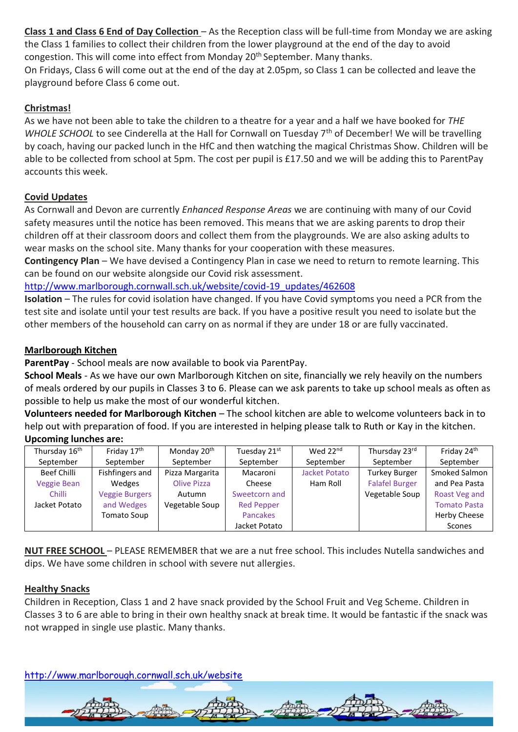**Class 1 and Class 6 End of Day Collection** – As the Reception class will be full-time from Monday we are asking the Class 1 families to collect their children from the lower playground at the end of the day to avoid congestion. This will come into effect from Monday 20<sup>th</sup> September. Many thanks.

On Fridays, Class 6 will come out at the end of the day at 2.05pm, so Class 1 can be collected and leave the playground before Class 6 come out.

# **Christmas!**

As we have not been able to take the children to a theatre for a year and a half we have booked for *THE WHOLE SCHOOL* to see Cinderella at the Hall for Cornwall on Tuesday 7<sup>th</sup> of December! We will be travelling by coach, having our packed lunch in the HfC and then watching the magical Christmas Show. Children will be able to be collected from school at 5pm. The cost per pupil is £17.50 and we will be adding this to ParentPay accounts this week.

# **Covid Updates**

As Cornwall and Devon are currently *Enhanced Response Areas* we are continuing with many of our Covid safety measures until the notice has been removed. This means that we are asking parents to drop their children off at their classroom doors and collect them from the playgrounds. We are also asking adults to wear masks on the school site. Many thanks for your cooperation with these measures.

**Contingency Plan** – We have devised a Contingency Plan in case we need to return to remote learning. This can be found on our website alongside our Covid risk assessment.

[http://www.marlborough.cornwall.sch.uk/website/covid-19\\_updates/462608](http://www.marlborough.cornwall.sch.uk/website/covid-19_updates/462608)

**Isolation** – The rules for covid isolation have changed. If you have Covid symptoms you need a PCR from the test site and isolate until your test results are back. If you have a positive result you need to isolate but the other members of the household can carry on as normal if they are under 18 or are fully vaccinated.

# **Marlborough Kitchen**

**ParentPay** - School meals are now available to book via ParentPay.

**School Meals** - As we have our own Marlborough Kitchen on site, financially we rely heavily on the numbers of meals ordered by our pupils in Classes 3 to 6. Please can we ask parents to take up school meals as often as possible to help us make the most of our wonderful kitchen.

**Volunteers needed for Marlborough Kitchen** – The school kitchen are able to welcome volunteers back in to help out with preparation of food. If you are interested in helping please talk to Ruth or Kay in the kitchen. **Upcoming lunches are:**

| Thursday 16 <sup>th</sup> | Friday 17th           | Monday 20 <sup>th</sup> | Tuesday 21st      | Wed 22 <sup>nd</sup> | Thursday 23rd         | Friday 24th         |
|---------------------------|-----------------------|-------------------------|-------------------|----------------------|-----------------------|---------------------|
| September                 | September             | September               | September         | September            | September             | September           |
| Beef Chilli               | Fishfingers and       | Pizza Margarita         | Macaroni          | Jacket Potato        | <b>Turkey Burger</b>  | Smoked Salmon       |
| <b>Veggie Bean</b>        | Wedges                | <b>Olive Pizza</b>      | Cheese            | Ham Roll             | <b>Falafel Burger</b> | and Pea Pasta       |
| <b>Chilli</b>             | <b>Veggie Burgers</b> | Autumn                  | Sweetcorn and     |                      | Vegetable Soup        | Roast Veg and       |
| Jacket Potato             | and Wedges            | Vegetable Soup          | <b>Red Pepper</b> |                      |                       | <b>Tomato Pasta</b> |
|                           | Tomato Soup           |                         | <b>Pancakes</b>   |                      |                       | Herby Cheese        |
|                           |                       |                         | Jacket Potato     |                      |                       | Scones              |

**NUT FREE SCHOOL** – PLEASE REMEMBER that we are a nut free school. This includes Nutella sandwiches and dips. We have some children in school with severe nut allergies.

# **Healthy Snacks**

Children in Reception, Class 1 and 2 have snack provided by the School Fruit and Veg Scheme. Children in Classes 3 to 6 are able to bring in their own healthy snack at break time. It would be fantastic if the snack was not wrapped in single use plastic. Many thanks.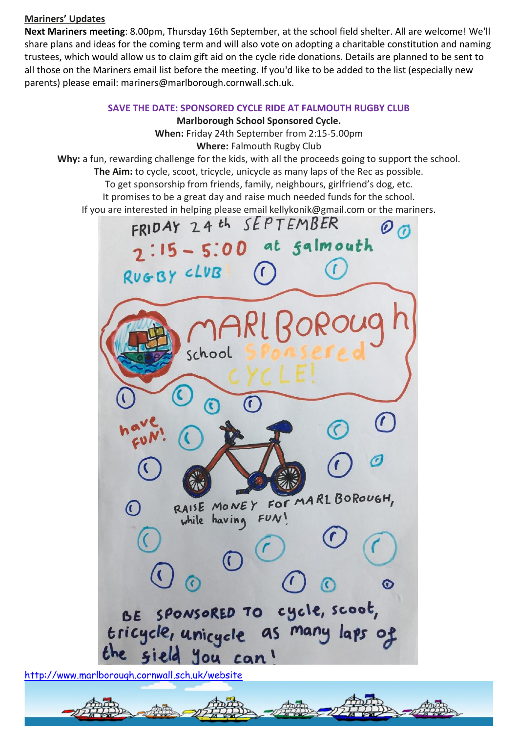### **Mariners' Updates**

**Next Mariners meeting**: 8.00pm, Thursday 16th September, at the school field shelter. All are welcome! We'll share plans and ideas for the coming term and will also vote on adopting a charitable constitution and naming trustees, which would allow us to claim gift aid on the cycle ride donations. Details are planned to be sent to all those on the Mariners email list before the meeting. If you'd like to be added to the list (especially new parents) please email: mariners@marlborough.cornwall.sch.uk.